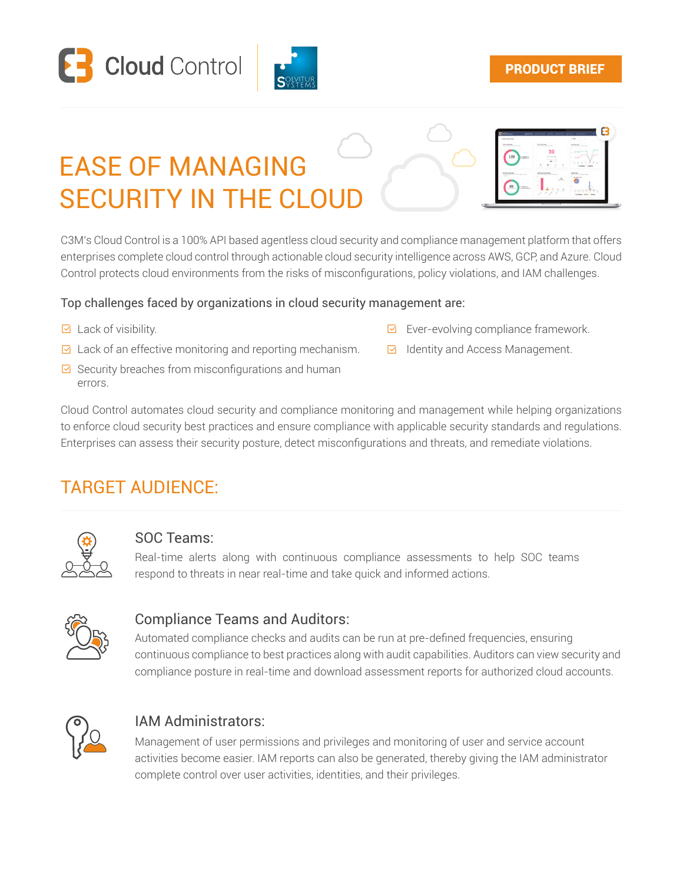



#### PRODUCT BRIEF

# EASE OF MANAGING **SECURITY IN THE CLOU**



C3M's Cloud Control is a 100% API based agentless cloud security and compliance management platform that offers enterprises complete cloud control through actionable cloud security intelligence across AWS, GCP, and Azure. Cloud Control protects cloud environments from the risks of misconfigurations, policy violations, and IAM challenges.

#### Top challenges faced by organizations in cloud security management are:

- $\triangleright$  Lack of visibility.
- $\boxdot$  Lack of an effective monitoring and reporting mechanism.  $\Box$  Identity and Access Management.
- $\overline{\boxtimes}$  Security breaches from misconfigurations and human errors.
- $\triangleright$  Ever-evolving compliance framework.
- Identity and Access Management.

Cloud Control automates cloud security and compliance monitoring and management while helping organizations to enforce cloud security best practices and ensure compliance with applicable security standards and regulations. Enterprises can assess their security posture, detect misconfigurations and threats, and remediate violations.

# TARGET AUDIENCE:



#### SOC Teams:

Real-time alerts along with continuous compliance assessments to help SOC teams respond to threats in near real-time and take quick and informed actions.



#### Compliance Teams and Auditors:

Automated compliance checks and audits can be run at pre-defined frequencies, ensuring continuous compliance to best practices along with audit capabilities. Auditors can view security and compliance posture in real-time and download assessment reports for authorized cloud accounts.



#### IAM Administrators:

Management of user permissions and privileges and monitoring of user and service account activities become easier. IAM reports can also be generated, thereby giving the IAM administrator complete control over user activities, identities, and their privileges.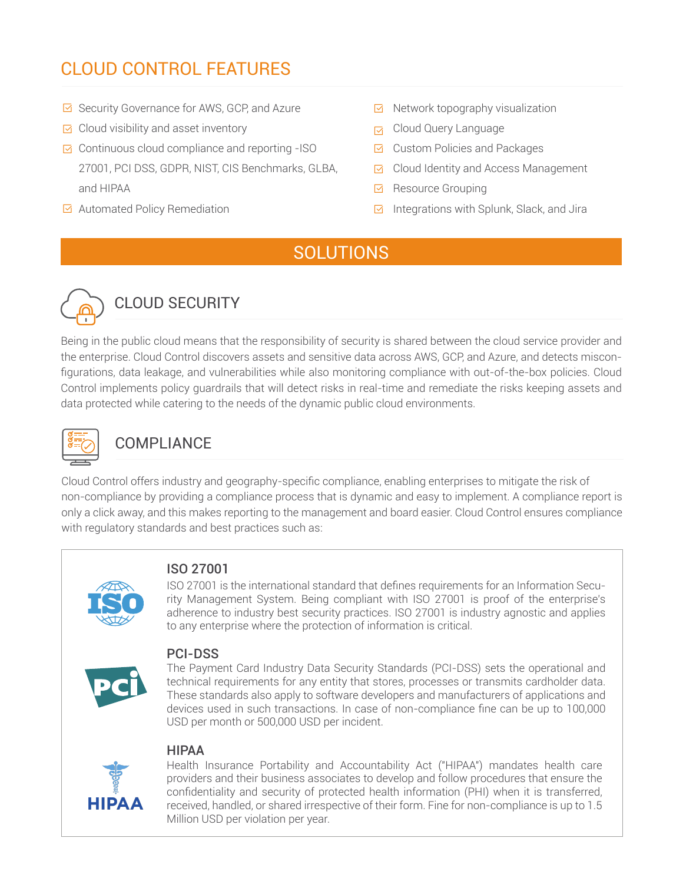# CLOUD CONTROL FEATURES

- **Ø** Security Governance for AWS, GCP, and Azure
- $\triangleright$  Cloud visibility and asset inventory
- $\boxdot$  Continuous cloud compliance and reporting -ISO 27001, PCI DSS, GDPR, NIST, CIS Benchmarks, GLBA, and HIPAA
- $\boxdot$  Automated Policy Remediation
- $\boxdot$  Network topography visualization
- G Cloud Query Language
- $\boxdot$  Custom Policies and Packages
- $\boxdot$  Cloud Identity and Access Management
- **E** Resource Grouping
- $\boxdot$  Integrations with Splunk, Slack, and Jira

# **SOLUTIONS**



# CLOUD SECURITY

Being in the public cloud means that the responsibility of security is shared between the cloud service provider and the enterprise. Cloud Control discovers assets and sensitive data across AWS, GCP, and Azure, and detects misconfigurations, data leakage, and vulnerabilities while also monitoring compliance with out-of-the-box policies. Cloud Control implements policy guardrails that will detect risks in real-time and remediate the risks keeping assets and data protected while catering to the needs of the dynamic public cloud environments.



# **COMPLIANCE**

Cloud Control offers industry and geography-specific compliance, enabling enterprises to mitigate the risk of non-compliance by providing a compliance process that is dynamic and easy to implement. A compliance report is only a click away, and this makes reporting to the management and board easier. Cloud Control ensures compliance with regulatory standards and best practices such as:



#### ISO 27001

ISO 27001 is the international standard that defines requirements for an Information Security Management System. Being compliant with ISO 27001 is proof of the enterprise's adherence to industry best security practices. ISO 27001 is industry agnostic and applies to any enterprise where the protection of information is critical.



#### PCI-DSS

The Payment Card Industry Data Security Standards (PCI-DSS) sets the operational and technical requirements for any entity that stores, processes or transmits cardholder data. These standards also apply to software developers and manufacturers of applications and devices used in such transactions. In case of non-compliance fine can be up to 100,000 USD per month or 500,000 USD per incident.

#### HIPAA



Health Insurance Portability and Accountability Act ("HIPAA") mandates health care providers and their business associates to develop and follow procedures that ensure the confidentiality and security of protected health information (PHI) when it is transferred, received, handled, or shared irrespective of their form. Fine for non-compliance is up to 1.5 Million USD per violation per year.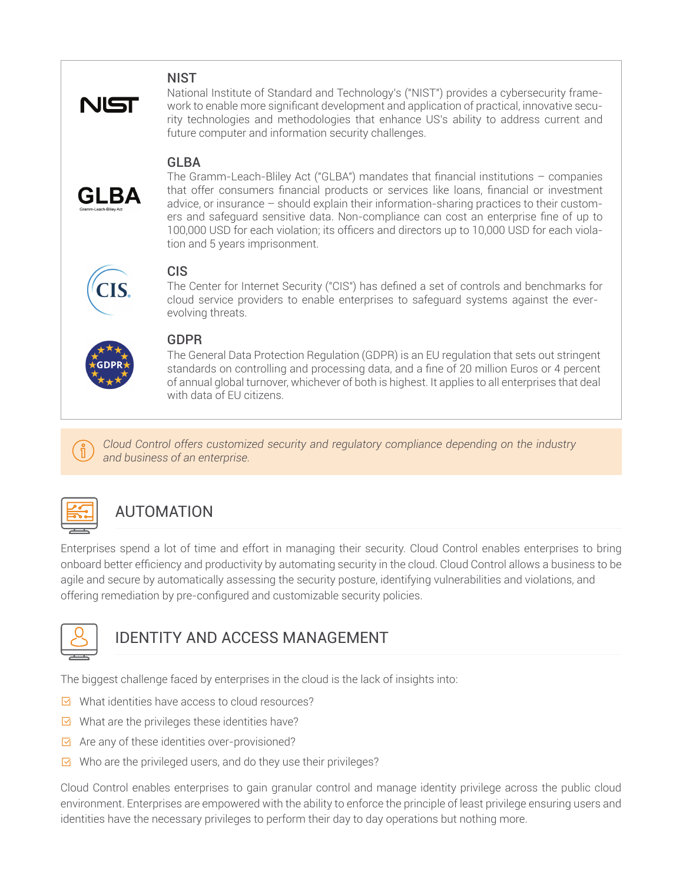#### **NIST**



National Institute of Standard and Technology's ("NIST") provides a cybersecurity framework to enable more significant development and application of practical, innovative security technologies and methodologies that enhance US's ability to address current and future computer and information security challenges.

#### **GLBA**



The Gramm-Leach-Bliley Act ("GLBA") mandates that financial institutions – companies that offer consumers financial products or services like loans, financial or investment advice, or insurance – should explain their information-sharing practices to their customers and safeguard sensitive data. Non-compliance can cost an enterprise fine of up to 100,000 USD for each violation; its officers and directors up to 10,000 USD for each violation and 5 years imprisonment.

#### CIS

The Center for Internet Security ("CIS") has defined a set of controls and benchmarks for cloud service providers to enable enterprises to safeguard systems against the everevolving threats.



#### GDPR

The General Data Protection Regulation (GDPR) is an EU regulation that sets out stringent standards on controlling and processing data, and a fine of 20 million Euros or 4 percent of annual global turnover, whichever of both is highest. It applies to all enterprises that deal with data of EU citizens.

*Cloud Control offers customized security and regulatory compliance depending on the industry and business of an enterprise.*



# AUTOMATION

Enterprises spend a lot of time and effort in managing their security. Cloud Control enables enterprises to bring onboard better efficiency and productivity by automating security in the cloud. Cloud Control allows a business to be agile and secure by automatically assessing the security posture, identifying vulnerabilities and violations, and offering remediation by pre-configured and customizable security policies.



# IDENTITY AND ACCESS MANAGEMENT

The biggest challenge faced by enterprises in the cloud is the lack of insights into:

- $\boxdot$  What identities have access to cloud resources?
- $\boxdot$  What are the privileges these identities have?
- $\boxdot$  Are any of these identities over-provisioned?
- $\boxdot$  Who are the privileged users, and do they use their privileges?

Cloud Control enables enterprises to gain granular control and manage identity privilege across the public cloud environment. Enterprises are empowered with the ability to enforce the principle of least privilege ensuring users and identities have the necessary privileges to perform their day to day operations but nothing more.